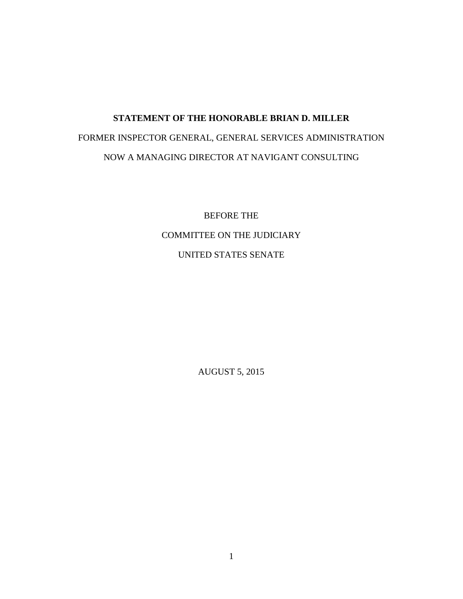## **STATEMENT OF THE HONORABLE BRIAN D. MILLER** FORMER INSPECTOR GENERAL, GENERAL SERVICES ADMINISTRATION NOW A MANAGING DIRECTOR AT NAVIGANT CONSULTING

BEFORE THE COMMITTEE ON THE JUDICIARY UNITED STATES SENATE

AUGUST 5, 2015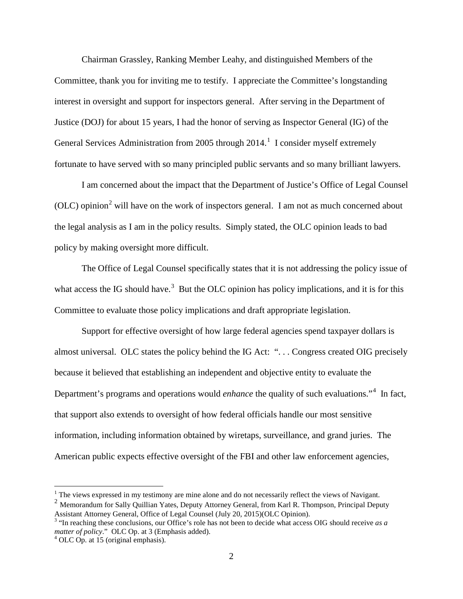Chairman Grassley, Ranking Member Leahy, and distinguished Members of the Committee, thank you for inviting me to testify. I appreciate the Committee's longstanding interest in oversight and support for inspectors general. After serving in the Department of Justice (DOJ) for about 15 years, I had the honor of serving as Inspector General (IG) of the General Services Administration from 2005 through  $2014$  $2014$  $2014$ .<sup>1</sup> I consider myself extremely fortunate to have served with so many principled public servants and so many brilliant lawyers.

I am concerned about the impact that the Department of Justice's Office of Legal Counsel (OLC) opinion<sup>[2](#page-1-1)</sup> will have on the work of inspectors general. I am not as much concerned about the legal analysis as I am in the policy results. Simply stated, the OLC opinion leads to bad policy by making oversight more difficult.

The Office of Legal Counsel specifically states that it is not addressing the policy issue of what access the IG should have.<sup>[3](#page-1-2)</sup> But the OLC opinion has policy implications, and it is for this Committee to evaluate those policy implications and draft appropriate legislation.

Support for effective oversight of how large federal agencies spend taxpayer dollars is almost universal. OLC states the policy behind the IG Act: ". . . Congress created OIG precisely because it believed that establishing an independent and objective entity to evaluate the Department's programs and operations would *enhance* the quality of such evaluations."<sup>[4](#page-1-3)</sup> In fact, that support also extends to oversight of how federal officials handle our most sensitive information, including information obtained by wiretaps, surveillance, and grand juries. The American public expects effective oversight of the FBI and other law enforcement agencies,

 $<sup>1</sup>$  The views expressed in my testimony are mine alone and do not necessarily reflect the views of Navigant.</sup>

<span id="page-1-1"></span><span id="page-1-0"></span><sup>&</sup>lt;sup>2</sup> Memorandum for Sally Quillian Yates, Deputy Attorney General, from Karl R. Thompson, Principal Deputy Assistant Attorney General, Office of Legal Counsel (July 20, 2015)(OLC Opinion).

<span id="page-1-2"></span><sup>3</sup> "In reaching these conclusions, our Office's role has not been to decide what access OIG should receive *as a matter of policy.*" OLC Op. at 3 (Emphasis added).  $^4$  OLC Op. at 15 (original emphasis).

<span id="page-1-3"></span>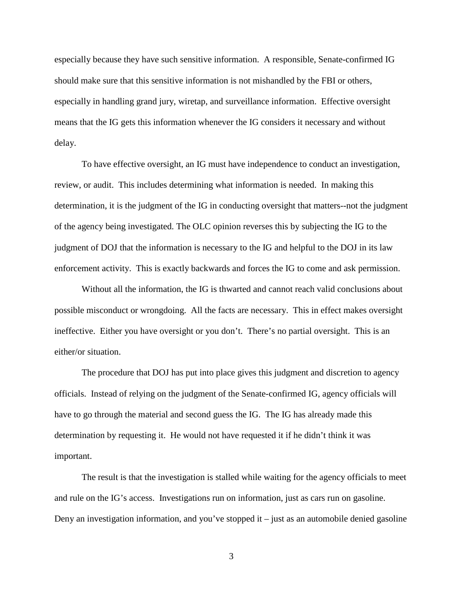especially because they have such sensitive information. A responsible, Senate-confirmed IG should make sure that this sensitive information is not mishandled by the FBI or others, especially in handling grand jury, wiretap, and surveillance information. Effective oversight means that the IG gets this information whenever the IG considers it necessary and without delay.

To have effective oversight, an IG must have independence to conduct an investigation, review, or audit. This includes determining what information is needed. In making this determination, it is the judgment of the IG in conducting oversight that matters--not the judgment of the agency being investigated. The OLC opinion reverses this by subjecting the IG to the judgment of DOJ that the information is necessary to the IG and helpful to the DOJ in its law enforcement activity. This is exactly backwards and forces the IG to come and ask permission.

Without all the information, the IG is thwarted and cannot reach valid conclusions about possible misconduct or wrongdoing. All the facts are necessary. This in effect makes oversight ineffective. Either you have oversight or you don't. There's no partial oversight. This is an either/or situation.

The procedure that DOJ has put into place gives this judgment and discretion to agency officials. Instead of relying on the judgment of the Senate-confirmed IG, agency officials will have to go through the material and second guess the IG. The IG has already made this determination by requesting it. He would not have requested it if he didn't think it was important.

The result is that the investigation is stalled while waiting for the agency officials to meet and rule on the IG's access. Investigations run on information, just as cars run on gasoline. Deny an investigation information, and you've stopped it  $-$  just as an automobile denied gasoline

3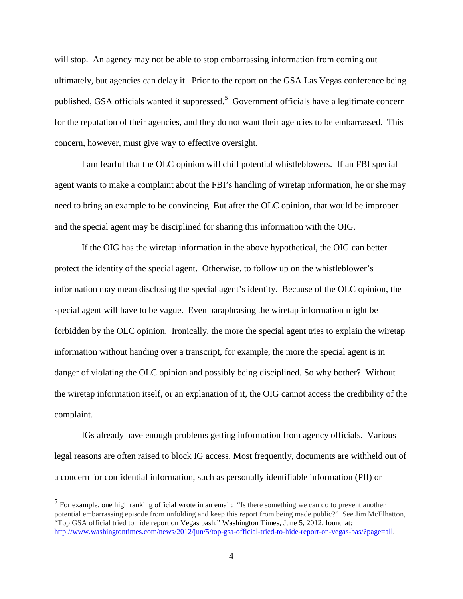will stop. An agency may not be able to stop embarrassing information from coming out ultimately, but agencies can delay it. Prior to the report on the GSA Las Vegas conference being published, GSA officials wanted it suppressed.<sup>[5](#page-3-0)</sup> Government officials have a legitimate concern for the reputation of their agencies, and they do not want their agencies to be embarrassed. This concern, however, must give way to effective oversight.

I am fearful that the OLC opinion will chill potential whistleblowers. If an FBI special agent wants to make a complaint about the FBI's handling of wiretap information, he or she may need to bring an example to be convincing. But after the OLC opinion, that would be improper and the special agent may be disciplined for sharing this information with the OIG.

If the OIG has the wiretap information in the above hypothetical, the OIG can better protect the identity of the special agent. Otherwise, to follow up on the whistleblower's information may mean disclosing the special agent's identity. Because of the OLC opinion, the special agent will have to be vague. Even paraphrasing the wiretap information might be forbidden by the OLC opinion. Ironically, the more the special agent tries to explain the wiretap information without handing over a transcript, for example, the more the special agent is in danger of violating the OLC opinion and possibly being disciplined. So why bother? Without the wiretap information itself, or an explanation of it, the OIG cannot access the credibility of the complaint.

IGs already have enough problems getting information from agency officials. Various legal reasons are often raised to block IG access. Most frequently, documents are withheld out of a concern for confidential information, such as personally identifiable information (PII) or

<span id="page-3-0"></span> <sup>5</sup> For example, one high ranking official wrote in an email: "Is there something we can do to prevent another potential embarrassing episode from unfolding and keep this report from being made public?" See Jim McElhatton, "Top GSA official tried to hide report on Vegas bash," Washington Times, June 5, 2012, found at: [http://www.washingtontimes.com/news/2012/jun/5/top-gsa-official-tried-to-hide-report-on-vegas-bas/?page=all.](http://www.washingtontimes.com/news/2012/jun/5/top-gsa-official-tried-to-hide-report-on-vegas-bas/?page=all)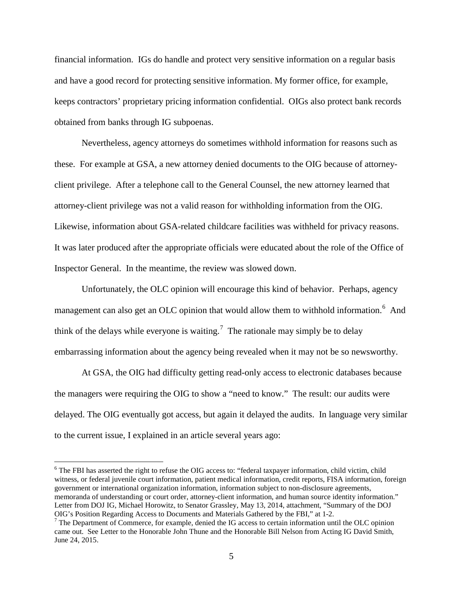financial information. IGs do handle and protect very sensitive information on a regular basis and have a good record for protecting sensitive information. My former office, for example, keeps contractors' proprietary pricing information confidential. OIGs also protect bank records obtained from banks through IG subpoenas.

Nevertheless, agency attorneys do sometimes withhold information for reasons such as these. For example at GSA, a new attorney denied documents to the OIG because of attorneyclient privilege. After a telephone call to the General Counsel, the new attorney learned that attorney-client privilege was not a valid reason for withholding information from the OIG. Likewise, information about GSA-related childcare facilities was withheld for privacy reasons. It was later produced after the appropriate officials were educated about the role of the Office of Inspector General. In the meantime, the review was slowed down.

Unfortunately, the OLC opinion will encourage this kind of behavior. Perhaps, agency management can also get an OLC opinion that would allow them to withhold information.<sup>[6](#page-4-0)</sup> And think of the delays while everyone is waiting.<sup>[7](#page-4-1)</sup> The rationale may simply be to delay embarrassing information about the agency being revealed when it may not be so newsworthy.

At GSA, the OIG had difficulty getting read-only access to electronic databases because the managers were requiring the OIG to show a "need to know." The result: our audits were delayed. The OIG eventually got access, but again it delayed the audits. In language very similar to the current issue, I explained in an article several years ago:

<span id="page-4-0"></span><sup>&</sup>lt;sup>6</sup> The FBI has asserted the right to refuse the OIG access to: "federal taxpayer information, child victim, child witness, or federal juvenile court information, patient medical information, credit reports, FISA information, foreign government or international organization information, information subject to non-disclosure agreements, memoranda of understanding or court order, attorney-client information, and human source identity information." Letter from DOJ IG, Michael Horowitz, to Senator Grassley, May 13, 2014, attachment, "Summary of the DOJ OIG's Position Regarding Access to Documents and Materials Gathered by the FBI," at 1-2.<br><sup>7</sup> The Department of Commerce, for example, denied the IG access to certain information until the OLC opinion

<span id="page-4-1"></span>came out. See Letter to the Honorable John Thune and the Honorable Bill Nelson from Acting IG David Smith, June 24, 2015.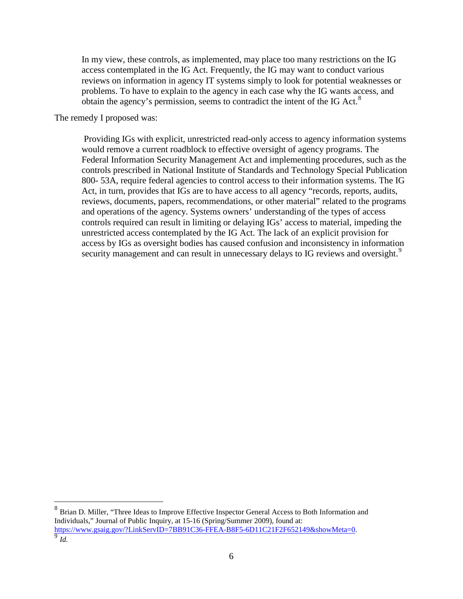In my view, these controls, as implemented, may place too many restrictions on the IG access contemplated in the IG Act. Frequently, the IG may want to conduct various reviews on information in agency IT systems simply to look for potential weaknesses or problems. To have to explain to the agency in each case why the IG wants access, and obtain the agency's permission, seems to contradict the intent of the IG Act. $8$ 

The remedy I proposed was:

Providing IGs with explicit, unrestricted read-only access to agency information systems would remove a current roadblock to effective oversight of agency programs. The Federal Information Security Management Act and implementing procedures, such as the controls prescribed in National Institute of Standards and Technology Special Publication 800- 53A, require federal agencies to control access to their information systems. The IG Act, in turn, provides that IGs are to have access to all agency "records, reports, audits, reviews, documents, papers, recommendations, or other material" related to the programs and operations of the agency. Systems owners' understanding of the types of access controls required can result in limiting or delaying IGs' access to material, impeding the unrestricted access contemplated by the IG Act. The lack of an explicit provision for access by IGs as oversight bodies has caused confusion and inconsistency in information security management and can result in unnecessary delays to IG reviews and oversight.<sup>[9](#page-5-1)</sup>

<span id="page-5-1"></span><span id="page-5-0"></span><sup>&</sup>lt;sup>8</sup> Brian D. Miller, "Three Ideas to Improve Effective Inspector General Access to Both Information and Individuals," Journal of Public Inquiry, at 15-16 (Spring/Summer 2009), found at: [https://www.gsaig.gov/?LinkServID=7BB91C36-FFEA-B8F5-6D11C21F2F652149&showMeta=0.](https://www.gsaig.gov/?LinkServID=7BB91C36-FFEA-B8F5-6D11C21F2F652149&showMeta=0) [9](https://www.gsaig.gov/?LinkServID=7BB91C36-FFEA-B8F5-6D11C21F2F652149&showMeta=0) *Id.*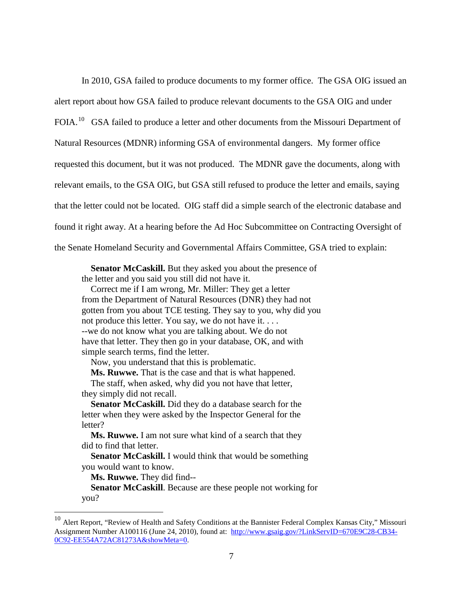In 2010, GSA failed to produce documents to my former office. The GSA OIG issued an alert report about how GSA failed to produce relevant documents to the GSA OIG and under FOIA.<sup>10</sup> GSA failed to produce a letter and other documents from the Missouri Department of Natural Resources (MDNR) informing GSA of environmental dangers. My former office requested this document, but it was not produced. The MDNR gave the documents, along with relevant emails, to the GSA OIG, but GSA still refused to produce the letter and emails, saying that the letter could not be located. OIG staff did a simple search of the electronic database and found it right away. At a hearing before the Ad Hoc Subcommittee on Contracting Oversight of the Senate Homeland Security and Governmental Affairs Committee, GSA tried to explain:

Senator McCaskill. But they asked you about the presence of the letter and you said you still did not have it.

 Correct me if I am wrong, Mr. Miller: They get a letter from the Department of Natural Resources (DNR) they had not gotten from you about TCE testing. They say to you, why did you not produce this letter. You say, we do not have it. . . . --we do not know what you are talking about. We do not have that letter. They then go in your database, OK, and with simple search terms, find the letter.

Now, you understand that this is problematic.

**Ms. Ruwwe.** That is the case and that is what happened.

 The staff, when asked, why did you not have that letter, they simply did not recall.

 **Senator McCaskill.** Did they do a database search for the letter when they were asked by the Inspector General for the letter?

 **Ms. Ruwwe.** I am not sure what kind of a search that they did to find that letter.

**Senator McCaskill.** I would think that would be something you would want to know.

**Ms. Ruwwe.** They did find--

 **Senator McCaskill**. Because are these people not working for you?

<span id="page-6-0"></span><sup>&</sup>lt;sup>10</sup> Alert Report, "Review of Health and Safety Conditions at the Bannister Federal Complex Kansas City," Missouri Assignment Number A100116 (June 24, 2010), found at: [http://www.gsaig.gov/?LinkServID=670E9C28-CB34-](http://www.gsaig.gov/?LinkServID=670E9C28-CB34-0C92-EE554A72AC81273A&showMeta=0) [0C92-EE554A72AC81273A&showMeta=0.](http://www.gsaig.gov/?LinkServID=670E9C28-CB34-0C92-EE554A72AC81273A&showMeta=0)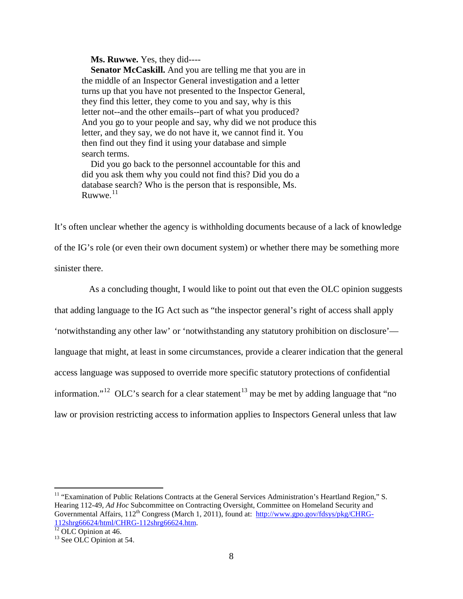**Ms. Ruwwe.** Yes, they did----

 **Senator McCaskill.** And you are telling me that you are in the middle of an Inspector General investigation and a letter turns up that you have not presented to the Inspector General, they find this letter, they come to you and say, why is this letter not--and the other emails--part of what you produced? And you go to your people and say, why did we not produce this letter, and they say, we do not have it, we cannot find it. You then find out they find it using your database and simple search terms.

 Did you go back to the personnel accountable for this and did you ask them why you could not find this? Did you do a database search? Who is the person that is responsible, Ms. Ruwwe. $11$ 

It's often unclear whether the agency is withholding documents because of a lack of knowledge of the IG's role (or even their own document system) or whether there may be something more sinister there.

As a concluding thought, I would like to point out that even the OLC opinion suggests that adding language to the IG Act such as "the inspector general's right of access shall apply 'notwithstanding any other law' or 'notwithstanding any statutory prohibition on disclosure' language that might, at least in some circumstances, provide a clearer indication that the general access language was supposed to override more specific statutory protections of confidential information."<sup>12</sup> OLC's search for a clear statement<sup>[13](#page-7-2)</sup> may be met by adding language that "no law or provision restricting access to information applies to Inspectors General unless that law

<span id="page-7-0"></span><sup>11</sup> "Examination of Public Relations Contracts at the General Services Administration's Heartland Region," S. Hearing 112-49, *Ad Hoc* Subcommittee on Contracting Oversight, Committee on Homeland Security and Governmental Affairs, 112<sup>th</sup> Congress (March 1, 2011), found at: [http://www.gpo.gov/fdsys/pkg/CHRG-](http://www.gpo.gov/fdsys/pkg/CHRG-112shrg66624/html/CHRG-112shrg66624.htm) $\frac{112 \text{shrg} 66624 \text{/html}/\text{CHRG-112} \text{shrg} 66624 \text{..htm}}{12 \text{ OLC Opinion at } 46.}$ <sup>13</sup> See OLC Opinion at 54.

<span id="page-7-1"></span>

<span id="page-7-2"></span>